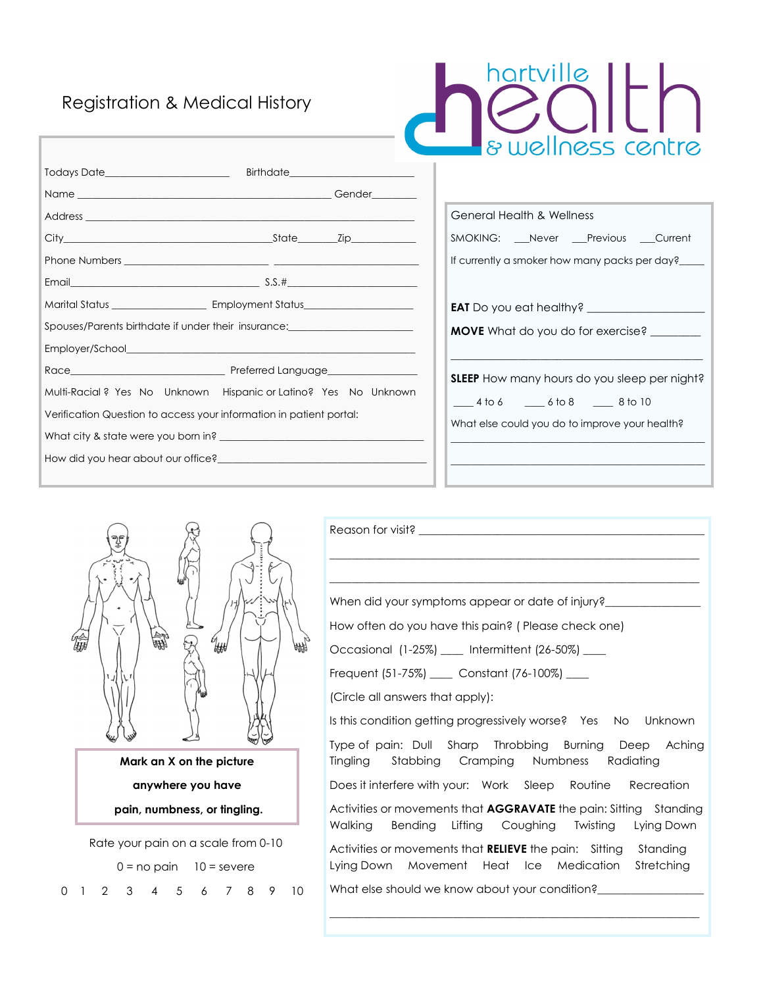## Registration & Medical History

| hartville         |  |  |  |
|-------------------|--|--|--|
| & wellness centre |  |  |  |

| Todays Date________________________                                 |                                                                                                                |  |  |  |
|---------------------------------------------------------------------|----------------------------------------------------------------------------------------------------------------|--|--|--|
|                                                                     |                                                                                                                |  |  |  |
|                                                                     |                                                                                                                |  |  |  |
|                                                                     |                                                                                                                |  |  |  |
|                                                                     |                                                                                                                |  |  |  |
|                                                                     |                                                                                                                |  |  |  |
|                                                                     |                                                                                                                |  |  |  |
|                                                                     | Spouses/Parents birthdate if under their insurance: ____________________________                               |  |  |  |
|                                                                     |                                                                                                                |  |  |  |
|                                                                     |                                                                                                                |  |  |  |
|                                                                     | Multi-Racial? Yes No Unknown Hispanic or Latino? Yes No Unknown                                                |  |  |  |
| Verification Question to access your information in patient portal: |                                                                                                                |  |  |  |
|                                                                     |                                                                                                                |  |  |  |
|                                                                     | How did you hear about our office? The manufacturer of the state of the state of the state of the state of the |  |  |  |
|                                                                     |                                                                                                                |  |  |  |

| General Health & Wellness                           |
|-----------------------------------------------------|
| SMOKING: Never Previous Current                     |
| If currently a smoker how many packs per day?       |
|                                                     |
|                                                     |
| <b>MOVE</b> What do you do for exercise?            |
|                                                     |
| <b>SLEEP</b> How many hours do you sleep per night? |
| 4 to 6 6 6 6 6 6 8 6 10                             |
| What else could you do to improve your health?      |
|                                                     |
|                                                     |



 Rate your pain on a scale from 0-10  $0 = no$  pain  $10 =$  severe 0 1 2 3 4 5 6 7 8 9 10

| When did your symptoms appear or date of injury?                                                                                 |
|----------------------------------------------------------------------------------------------------------------------------------|
| How often do you have this pain? (Please check one)                                                                              |
| Occasional (1-25%) ___ Intermittent (26-50%) ___                                                                                 |
| Frequent (51-75%) _____ Constant (76-100%) ____                                                                                  |
| (Circle all answers that apply):                                                                                                 |
| Is this condition getting progressively worse? Yes No Unknown                                                                    |
| Type of pain: Dull Sharp Throbbing Burning Deep Aching<br>Tingling Stabbing Cramping Numbness Radiating                          |
| Does it interfere with your: Work Sleep Routine Recreation                                                                       |
| Activities or movements that <b>AGGRAVATE</b> the pain: Sitting Standing<br>Walking Bending Lifting Coughing Twisting Lying Down |
| Activities or movements that <b>RELIEVE</b> the pain: Sitting Standing<br>Lying Down Movement Heat Ice Medication Stretching     |
| What else should we know about your condition? _________________________________                                                 |